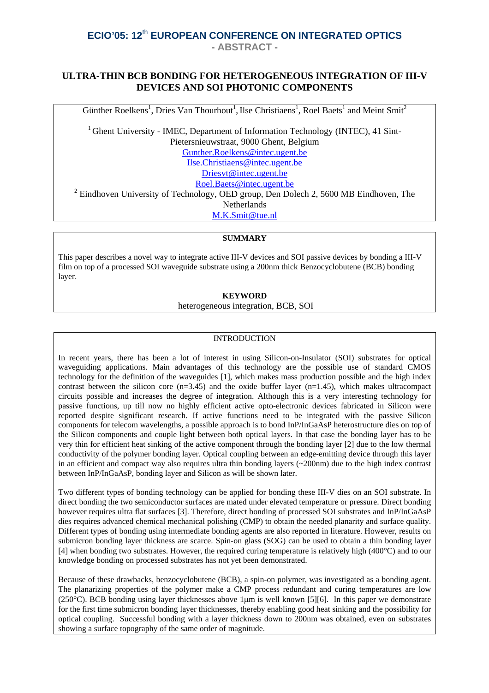## **ULTRA-THIN BCB BONDING FOR HETEROGENEOUS INTEGRATION OF III-V DEVICES AND SOI PHOTONIC COMPONENTS**

Günther Roelkens<sup>1</sup>, Dries Van Thourhout<sup>1</sup>, Ilse Christiaens<sup>1</sup>, Roel Baets<sup>1</sup> and Meint Smit<sup>2</sup>

 $1$  Ghent University - IMEC, Department of Information Technology (INTEC), 41 Sint-Pietersnieuwstraat, 9000 Ghent, Belgium Gunther.Roelkens@intec.ugent.be Ilse.Christiaens@intec.ugent.be Driesvt@intec.ugent.be Roel.Baets@intec.ugent.be  $2^2$  Eindhoven University of Technology, OED group, Den Dolech 2, 5600 MB Eindhoven, The

**Netherlands** 

M.K.Smit@tue.nl

#### **SUMMARY**

This paper describes a novel way to integrate active III-V devices and SOI passive devices by bonding a III-V film on top of a processed SOI waveguide substrate using a 200nm thick Benzocyclobutene (BCB) bonding layer.

#### **KEYWORD**

heterogeneous integration, BCB, SOI

#### **INTRODUCTION**

In recent years, there has been a lot of interest in using Silicon-on-Insulator (SOI) substrates for optical waveguiding applications. Main advantages of this technology are the possible use of standard CMOS technology for the definition of the waveguides [1], which makes mass production possible and the high index contrast between the silicon core  $(n=3.45)$  and the oxide buffer layer  $(n=1.45)$ , which makes ultracompact circuits possible and increases the degree of integration. Although this is a very interesting technology for passive functions, up till now no highly efficient active opto-electronic devices fabricated in Silicon were reported despite significant research. If active functions need to be integrated with the passive Silicon components for telecom wavelengths, a possible approach is to bond InP/InGaAsP heterostructure dies on top of the Silicon components and couple light between both optical layers. In that case the bonding layer has to be very thin for efficient heat sinking of the active component through the bonding layer [2] due to the low thermal conductivity of the polymer bonding layer. Optical coupling between an edge-emitting device through this layer in an efficient and compact way also requires ultra thin bonding layers (~200nm) due to the high index contrast between InP/InGaAsP, bonding layer and Silicon as will be shown later.

Two different types of bonding technology can be applied for bonding these III-V dies on an SOI substrate. In direct bonding the two semiconductor surfaces are mated under elevated temperature or pressure. Direct bonding however requires ultra flat surfaces [3]. Therefore, direct bonding of processed SOI substrates and InP/InGaAsP dies requires advanced chemical mechanical polishing (CMP) to obtain the needed planarity and surface quality. Different types of bonding using intermediate bonding agents are also reported in literature. However, results on submicron bonding layer thickness are scarce. Spin-on glass (SOG) can be used to obtain a thin bonding layer [4] when bonding two substrates. However, the required curing temperature is relatively high (400°C) and to our knowledge bonding on processed substrates has not yet been demonstrated.

Because of these drawbacks, benzocyclobutene (BCB), a spin-on polymer, was investigated as a bonding agent. The planarizing properties of the polymer make a CMP process redundant and curing temperatures are low (250°C). BCB bonding using layer thicknesses above 1µm is well known [5][6]. In this paper we demonstrate for the first time submicron bonding layer thicknesses, thereby enabling good heat sinking and the possibility for optical coupling. Successful bonding with a layer thickness down to 200nm was obtained, even on substrates showing a surface topography of the same order of magnitude.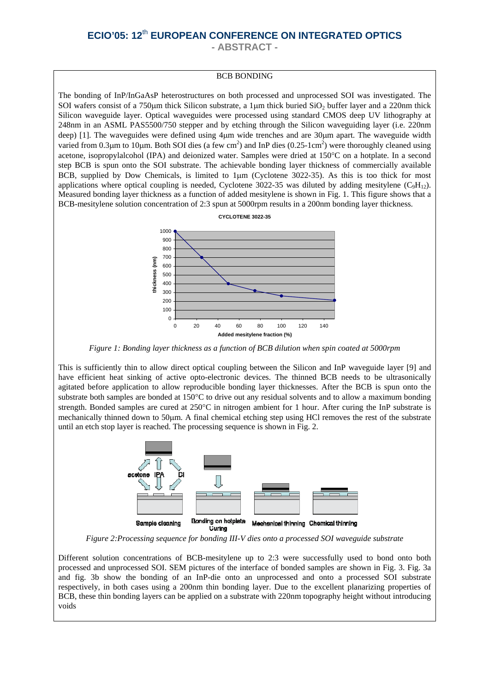**- ABSTRACT -** 

#### BCB BONDING

The bonding of InP/InGaAsP heterostructures on both processed and unprocessed SOI was investigated. The SOI wafers consist of a 750 $\mu$ m thick Silicon substrate, a 1 $\mu$ m thick buried SiO<sub>2</sub> buffer layer and a 220 $\mu$ m thick Silicon waveguide layer. Optical waveguides were processed using standard CMOS deep UV lithography at 248nm in an ASML PAS5500/750 stepper and by etching through the Silicon waveguiding layer (i.e. 220nm deep) [1]. The waveguides were defined using 4µm wide trenches and are 30µm apart. The waveguide width varied from 0.3 $\mu$ m to 10 $\mu$ m. Both SOI dies (a few cm<sup>2</sup>) and InP dies (0.25-1cm<sup>2</sup>) were thoroughly cleaned using acetone, isopropylalcohol (IPA) and deionized water. Samples were dried at 150°C on a hotplate. In a second step BCB is spun onto the SOI substrate. The achievable bonding layer thickness of commercially available BCB, supplied by Dow Chemicals, is limited to 1µm (Cyclotene 3022-35). As this is too thick for most applications where optical coupling is needed, Cyclotene 3022-35 was diluted by adding mesitylene  $(C_9H_{12})$ . Measured bonding layer thickness as a function of added mesitylene is shown in Fig. 1. This figure shows that a BCB-mesitylene solution concentration of 2:3 spun at 5000rpm results in a 200nm bonding layer thickness.



*Figure 1: Bonding layer thickness as a function of BCB dilution when spin coated at 5000rpm* 

This is sufficiently thin to allow direct optical coupling between the Silicon and InP waveguide layer [9] and have efficient heat sinking of active opto-electronic devices. The thinned BCB needs to be ultrasonically agitated before application to allow reproducible bonding layer thicknesses. After the BCB is spun onto the substrate both samples are bonded at 150°C to drive out any residual solvents and to allow a maximum bonding strength. Bonded samples are cured at 250°C in nitrogen ambient for 1 hour. After curing the InP substrate is mechanically thinned down to 50µm. A final chemical etching step using HCl removes the rest of the substrate until an etch stop layer is reached. The processing sequence is shown in Fig. 2.



*Figure 2:Processing sequence for bonding III-V dies onto a processed SOI waveguide substrate* 

Different solution concentrations of BCB-mesitylene up to 2:3 were successfully used to bond onto both processed and unprocessed SOI. SEM pictures of the interface of bonded samples are shown in Fig. 3. Fig. 3a and fig. 3b show the bonding of an InP-die onto an unprocessed and onto a processed SOI substrate respectively, in both cases using a 200nm thin bonding layer. Due to the excellent planarizing properties of BCB, these thin bonding layers can be applied on a substrate with 220nm topography height without introducing voids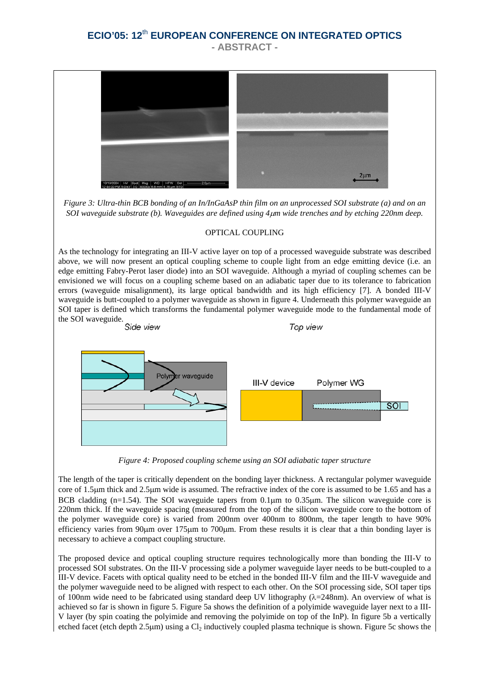

*Figure 3: Ultra-thin BCB bonding of an In/InGaAsP thin film on an unprocessed SOI substrate (a) and on an SOI waveguide substrate (b). Waveguides are defined using 4*µ*m wide trenches and by etching 220nm deep.* 

#### OPTICAL COUPLING

As the technology for integrating an III-V active layer on top of a processed waveguide substrate was described above, we will now present an optical coupling scheme to couple light from an edge emitting device (i.e. an edge emitting Fabry-Perot laser diode) into an SOI waveguide. Although a myriad of coupling schemes can be envisioned we will focus on a coupling scheme based on an adiabatic taper due to its tolerance to fabrication errors (waveguide misalignment), its large optical bandwidth and its high efficiency [7]. A bonded III-V waveguide is butt-coupled to a polymer waveguide as shown in figure 4. Underneath this polymer waveguide an SOI taper is defined which transforms the fundamental polymer waveguide mode to the fundamental mode of



*Figure 4: Proposed coupling scheme using an SOI adiabatic taper structure*

The length of the taper is critically dependent on the bonding layer thickness. A rectangular polymer waveguide core of 1.5µm thick and 2.5µm wide is assumed. The refractive index of the core is assumed to be 1.65 and has a BCB cladding (n=1.54). The SOI waveguide tapers from 0.1 $\mu$ m to 0.35 $\mu$ m. The silicon waveguide core is 220nm thick. If the waveguide spacing (measured from the top of the silicon waveguide core to the bottom of the polymer waveguide core) is varied from 200nm over 400nm to 800nm, the taper length to have 90% efficiency varies from 90µm over 175µm to 700µm. From these results it is clear that a thin bonding layer is necessary to achieve a compact coupling structure.

The proposed device and optical coupling structure requires technologically more than bonding the III-V to processed SOI substrates. On the III-V processing side a polymer waveguide layer needs to be butt-coupled to a III-V device. Facets with optical quality need to be etched in the bonded III-V film and the III-V waveguide and the polymer waveguide need to be aligned with respect to each other. On the SOI processing side, SOI taper tips of 100nm wide need to be fabricated using standard deep UV lithography  $(\lambda=248$ nm). An overview of what is achieved so far is shown in figure 5. Figure 5a shows the definition of a polyimide waveguide layer next to a III-V layer (by spin coating the polyimide and removing the polyimide on top of the InP). In figure 5b a vertically etched facet (etch depth 2.5µm) using a Cl<sub>2</sub> inductively coupled plasma technique is shown. Figure 5c shows the